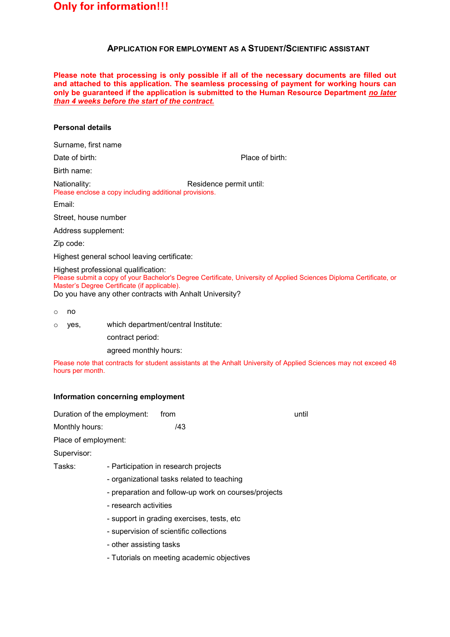## **APPLICATION FOR EMPLOYMENT AS A STUDENT/SCIENTIFIC ASSISTANT**

**Please note that processing is only possible if all of the necessary documents are filled out and attached to this application. The seamless processing of payment for working hours can only be guaranteed if the application is submitted to the Human Resource Department** *no later than 4 weeks before the start of the contract.*

#### **Personal details**

Surname, first name

Date of birth: Place of birth:

Birth name:

Nationality: Nationality: Residence permit until: Please enclose a copy including additional provisions.

Email:

Street, house number

Address supplement:

Zip code:

Highest general school leaving certificate:

Highest professional qualification:

Please submit a copy of your Bachelor's Degree Certificate, University of Applied Sciences Diploma Certificate, or Master's Degree Certificate (if applicable).

Do you have any other contracts with Anhalt University?

- o no
- o yes, which department/central Institute:

contract period:

agreed monthly hours:

Please note that contracts for student assistants at the Anhalt University of Applied Sciences may not exceed 48 hours per month.

### **Information concerning employment**

Monthly hours: /43

Duration of the employment: from example of the employment: from the state of the state of the until

Place of employment:

Supervisor:

Tasks: - Participation in research projects

- organizational tasks related to teaching
- preparation and follow-up work on courses/projects
- research activities
- support in grading exercises, tests, etc
- supervision of scientific collections
- other assisting tasks
- Tutorials on meeting academic objectives